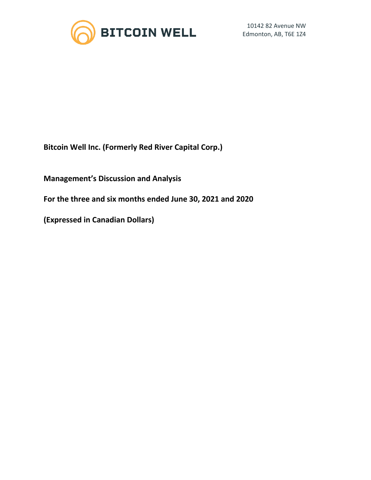

**Bitcoin Well Inc. (Formerly Red River Capital Corp.)**

**Management's Discussion and Analysis**

**For the three and six months ended June 30, 2021 and 2020**

**(Expressed in Canadian Dollars)**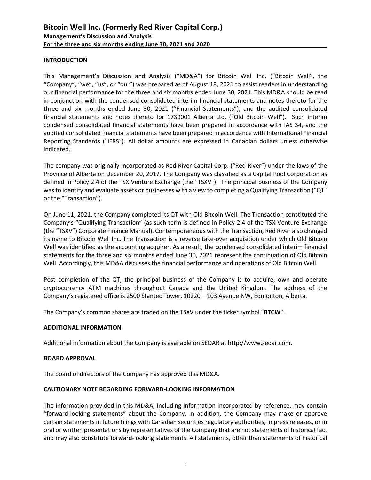## **INTRODUCTION**

This Management's Discussion and Analysis ("MD&A") for Bitcoin Well Inc. ("Bitcoin Well", the "Company", "we", "us", or "our") was prepared as of August 18, 2021 to assist readers in understanding our financial performance for the three and six months ended June 30, 2021. This MD&A should be read in conjunction with the condensed consolidated interim financial statements and notes thereto for the three and six months ended June 30, 2021 ("Financial Statements"), and the audited consolidated financial statements and notes thereto for 1739001 Alberta Ltd. ("Old Bitcoin Well"). Such interim condensed consolidated financial statements have been prepared in accordance with IAS 34, and the audited consolidated financial statements have been prepared in accordance with International Financial Reporting Standards ("IFRS"). All dollar amounts are expressed in Canadian dollars unless otherwise indicated.

The company was originally incorporated as Red River Capital Corp. ("Red River") under the laws of the Province of Alberta on December 20, 2017. The Company was classified as a Capital Pool Corporation as defined in Policy 2.4 of the TSX Venture Exchange (the "TSXV"). The principal business of the Company was to identify and evaluate assets or businesses with a view to completing a Qualifying Transaction ("QT" or the "Transaction").

On June 11, 2021, the Company completed its QT with Old Bitcoin Well. The Transaction constituted the Company's "Qualifying Transaction" (as such term is defined in Policy 2.4 of the TSX Venture Exchange (the "TSXV") Corporate Finance Manual). Contemporaneous with the Transaction, Red River also changed its name to Bitcoin Well Inc. The Transaction is a reverse take-over acquisition under which Old Bitcoin Well was identified as the accounting acquirer. As a result, the condensed consolidated interim financial statements for the three and six months ended June 30, 2021 represent the continuation of Old Bitcoin Well. Accordingly, this MD&A discusses the financial performance and operations of Old Bitcoin Well.

Post completion of the QT, the principal business of the Company is to acquire, own and operate cryptocurrency ATM machines throughout Canada and the United Kingdom. The address of the Company's registered office is 2500 Stantec Tower, 10220 – 103 Avenue NW, Edmonton, Alberta.

The Company's common shares are traded on the TSXV under the ticker symbol "**BTCW**".

#### **ADDITIONAL INFORMATION**

Additional information about the Company is available on SEDAR at http://www.sedar.com.

#### **BOARD APPROVAL**

The board of directors of the Company has approved this MD&A.

#### **CAUTIONARY NOTE REGARDING FORWARD-LOOKING INFORMATION**

The information provided in this MD&A, including information incorporated by reference, may contain "forward-looking statements" about the Company. In addition, the Company may make or approve certain statements in future filings with Canadian securities regulatory authorities, in press releases, or in oral or written presentations by representatives of the Company that are not statements of historical fact and may also constitute forward-looking statements. All statements, other than statements of historical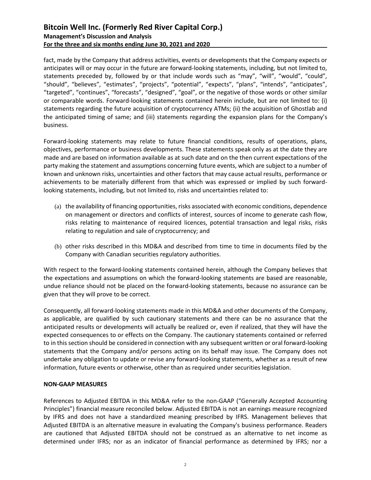fact, made by the Company that address activities, events or developments that the Company expects or anticipates will or may occur in the future are forward-looking statements, including, but not limited to, statements preceded by, followed by or that include words such as "may", "will", "would", "could", "should", "believes", "estimates", "projects", "potential", "expects", "plans", "intends", "anticipates", "targeted", "continues", "forecasts", "designed", "goal", or the negative of those words or other similar or comparable words. Forward-looking statements contained herein include, but are not limited to: (i) statements regarding the future acquisition of cryptocurrency ATMs; (ii) the acquisition of Ghostlab and the anticipated timing of same; and (iii) statements regarding the expansion plans for the Company's business.

Forward-looking statements may relate to future financial conditions, results of operations, plans, objectives, performance or business developments. These statements speak only as at the date they are made and are based on information available as at such date and on the then current expectations of the party making the statement and assumptions concerning future events, which are subject to a number of known and unknown risks, uncertainties and other factors that may cause actual results, performance or achievements to be materially different from that which was expressed or implied by such forwardlooking statements, including, but not limited to, risks and uncertainties related to:

- (a) the availability of financing opportunities, risks associated with economic conditions, dependence on management or directors and conflicts of interest, sources of income to generate cash flow, risks relating to maintenance of required licences, potential transaction and legal risks, risks relating to regulation and sale of cryptocurrency; and
- (b) other risks described in this MD&A and described from time to time in documents filed by the Company with Canadian securities regulatory authorities.

With respect to the forward-looking statements contained herein, although the Company believes that the expectations and assumptions on which the forward-looking statements are based are reasonable, undue reliance should not be placed on the forward-looking statements, because no assurance can be given that they will prove to be correct.

Consequently, all forward-looking statements made in this MD&A and other documents of the Company, as applicable, are qualified by such cautionary statements and there can be no assurance that the anticipated results or developments will actually be realized or, even if realized, that they will have the expected consequences to or effects on the Company. The cautionary statements contained or referred to in this section should be considered in connection with any subsequent written or oral forward-looking statements that the Company and/or persons acting on its behalf may issue. The Company does not undertake any obligation to update or revise any forward-looking statements, whether as a result of new information, future events or otherwise, other than as required under securities legislation.

## **NON-GAAP MEASURES**

References to Adjusted EBITDA in this MD&A refer to the non-GAAP ("Generally Accepted Accounting Principles") financial measure reconciled below. Adjusted EBITDA is not an earnings measure recognized by IFRS and does not have a standardized meaning prescribed by IFRS. Management believes that Adjusted EBITDA is an alternative measure in evaluating the Company's business performance. Readers are cautioned that Adjusted EBITDA should not be construed as an alternative to net income as determined under IFRS; nor as an indicator of financial performance as determined by IFRS; nor a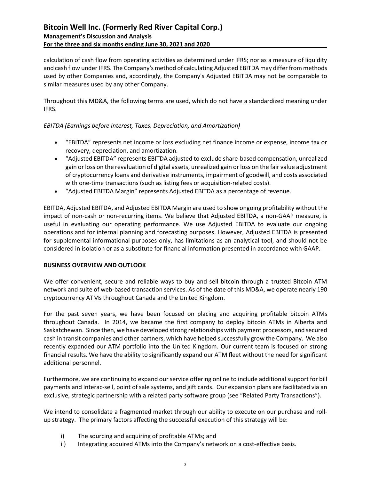calculation of cash flow from operating activities as determined under IFRS; nor as a measure of liquidity and cash flow under IFRS. The Company's method of calculating Adjusted EBITDA may differ from methods used by other Companies and, accordingly, the Company's Adjusted EBITDA may not be comparable to similar measures used by any other Company.

Throughout this MD&A, the following terms are used, which do not have a standardized meaning under IFRS.

# *EBITDA (Earnings before Interest, Taxes, Depreciation, and Amortization)*

- "EBITDA" represents net income or loss excluding net finance income or expense, income tax or recovery, depreciation, and amortization.
- "Adjusted EBITDA" represents EBITDA adjusted to exclude share-based compensation, unrealized gain or loss on the revaluation of digital assets, unrealized gain or loss on the fair value adjustment of cryptocurrency loans and derivative instruments, impairment of goodwill, and costs associated with one-time transactions (such as listing fees or acquisition-related costs).
- "Adjusted EBITDA Margin" represents Adjusted EBITDA as a percentage of revenue.

EBITDA, Adjusted EBITDA, and Adjusted EBITDA Margin are used to show ongoing profitability without the impact of non-cash or non-recurring items. We believe that Adjusted EBITDA, a non-GAAP measure, is useful in evaluating our operating performance. We use Adjusted EBITDA to evaluate our ongoing operations and for internal planning and forecasting purposes. However, Adjusted EBITDA is presented for supplemental informational purposes only, has limitations as an analytical tool, and should not be considered in isolation or as a substitute for financial information presented in accordance with GAAP.

## **BUSINESS OVERVIEW AND OUTLOOK**

We offer convenient, secure and reliable ways to buy and sell bitcoin through a trusted Bitcoin ATM network and suite of web-based transaction services. As of the date of this MD&A, we operate nearly 190 cryptocurrency ATMs throughout Canada and the United Kingdom.

For the past seven years, we have been focused on placing and acquiring profitable bitcoin ATMs throughout Canada. In 2014, we became the first company to deploy bitcoin ATMs in Alberta and Saskatchewan. Since then, we have developed strong relationships with payment processors, and secured cash in transit companies and other partners, which have helped successfully grow the Company. We also recently expanded our ATM portfolio into the United Kingdom. Our current team is focused on strong financial results. We have the ability to significantly expand our ATM fleet without the need for significant additional personnel.

Furthermore, we are continuing to expand our service offering online to include additional support for bill payments and Interac-sell, point of sale systems, and gift cards. Our expansion plans are facilitated via an exclusive, strategic partnership with a related party software group (see "Related Party Transactions").

We intend to consolidate a fragmented market through our ability to execute on our purchase and rollup strategy. The primary factors affecting the successful execution of this strategy will be:

- i) The sourcing and acquiring of profitable ATMs; and
- ii) Integrating acquired ATMs into the Company's network on a cost-effective basis.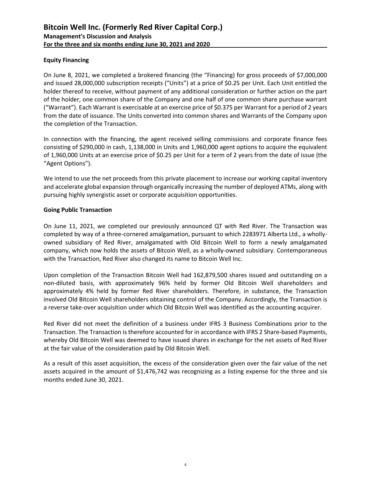## **Equity Financing**

On June 8, 2021, we completed a brokered financing (the "Financing) for gross proceeds of \$7,000,000 and issued 28,000,000 subscription receipts ("Units") at a price of \$0.25 per Unit. Each Unit entitled the holder thereof to receive, without payment of any additional consideration or further action on the part of the holder, one common share of the Company and one half of one common share purchase warrant ("Warrant"). Each Warrant is exercisable at an exercise price of \$0.375 per Warrant for a period of 2 years from the date of issuance. The Units converted into common shares and Warrants of the Company upon the completion of the Transaction.

In connection with the financing, the agent received selling commissions and corporate finance fees consisting of \$290,000 in cash, 1,138,000 in Units and 1,960,000 agent options to acquire the equivalent of 1,960,000 Units at an exercise price of \$0.25 per Unit for a term of 2 years from the date of issue (the "Agent Options").

We intend to use the net proceeds from this private placement to increase our working capital inventory and accelerate global expansion through organically increasing the number of deployed ATMs, along with pursuing highly synergistic asset or corporate acquisition opportunities.

## **Going Public Transaction**

On June 11, 2021, we completed our previously announced QT with Red River. The Transaction was completed by way of a three-cornered amalgamation, pursuant to which 2283971 Alberta Ltd., a whollyowned subsidiary of Red River, amalgamated with Old Bitcoin Well to form a newly amalgamated company, which now holds the assets of Bitcoin Well, as a wholly-owned subsidiary. Contemporaneous with the Transaction, Red River also changed its name to Bitcoin Well Inc.

Upon completion of the Transaction Bitcoin Well had 162,879,500 shares issued and outstanding on a non-diluted basis, with approximately 96% held by former Old Bitcoin Well shareholders and approximately 4% held by former Red River shareholders. Therefore, in substance, the Transaction involved Old Bitcoin Well shareholders obtaining control of the Company. Accordingly, the Transaction is a reverse take-over acquisition under which Old Bitcoin Well was identified as the accounting acquirer.

Red River did not meet the definition of a business under IFRS 3 Business Combinations prior to the Transaction. The Transaction is therefore accounted for in accordance with IFRS 2 Share-based Payments, whereby Old Bitcoin Well was deemed to have issued shares in exchange for the net assets of Red River at the fair value of the consideration paid by Old Bitcoin Well.

As a result of this asset acquisition, the excess of the consideration given over the fair value of the net assets acquired in the amount of \$1,476,742 was recognizing as a listing expense for the three and six months ended June 30, 2021.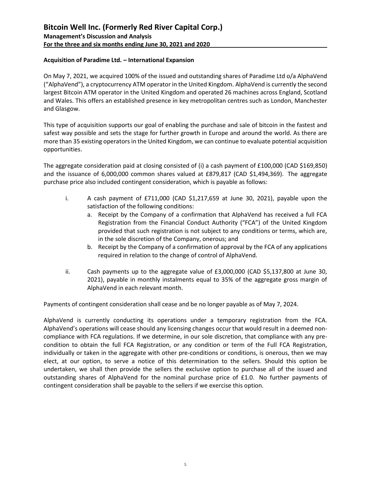# **Acquisition of Paradime Ltd. – International Expansion**

On May 7, 2021, we acquired 100% of the issued and outstanding shares of Paradime Ltd o/a AlphaVend ("AlphaVend"), a cryptocurrency ATM operator in the United Kingdom. AlphaVend is currently the second largest Bitcoin ATM operator in the United Kingdom and operated 26 machines across England, Scotland and Wales. This offers an established presence in key metropolitan centres such as London, Manchester and Glasgow.

This type of acquisition supports our goal of enabling the purchase and sale of bitcoin in the fastest and safest way possible and sets the stage for further growth in Europe and around the world. As there are more than 35 existing operators in the United Kingdom, we can continue to evaluate potential acquisition opportunities.

The aggregate consideration paid at closing consisted of (i) a cash payment of £100,000 (CAD \$169,850) and the issuance of 6,000,000 common shares valued at £879,817 (CAD \$1,494,369). The aggregate purchase price also included contingent consideration, which is payable as follows:

- i. A cash payment of £711,000 (CAD \$1,217,659 at June 30, 2021), payable upon the satisfaction of the following conditions:
	- a. Receipt by the Company of a confirmation that AlphaVend has received a full FCA Registration from the Financial Conduct Authority ("FCA") of the United Kingdom provided that such registration is not subject to any conditions or terms, which are, in the sole discretion of the Company, onerous; and
	- b. Receipt by the Company of a confirmation of approval by the FCA of any applications required in relation to the change of control of AlphaVend.
- ii. Cash payments up to the aggregate value of £3,000,000 (CAD \$5,137,800 at June 30, 2021), payable in monthly instalments equal to 35% of the aggregate gross margin of AlphaVend in each relevant month.

Payments of contingent consideration shall cease and be no longer payable as of May 7, 2024.

AlphaVend is currently conducting its operations under a temporary registration from the FCA. AlphaVend's operations will cease should any licensing changes occur that would result in a deemed noncompliance with FCA regulations. If we determine, in our sole discretion, that compliance with any precondition to obtain the full FCA Registration, or any condition or term of the Full FCA Registration, individually or taken in the aggregate with other pre-conditions or conditions, is onerous, then we may elect, at our option, to serve a notice of this determination to the sellers. Should this option be undertaken, we shall then provide the sellers the exclusive option to purchase all of the issued and outstanding shares of AlphaVend for the nominal purchase price of £1.0. No further payments of contingent consideration shall be payable to the sellers if we exercise this option.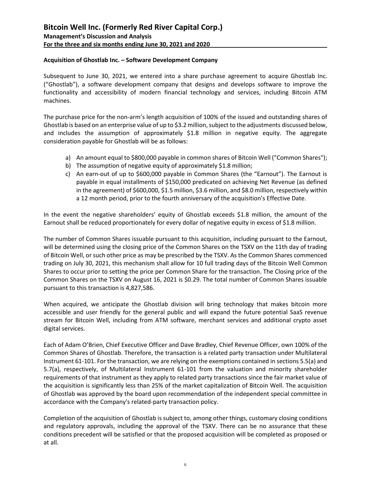### **Acquisition of Ghostlab Inc. – Software Development Company**

Subsequent to June 30, 2021, we entered into a share purchase agreement to acquire Ghostlab Inc. ("Ghostlab"), a software development company that designs and develops software to improve the functionality and accessibility of modern financial technology and services, including Bitcoin ATM machines.

The purchase price for the non-arm's length acquisition of 100% of the issued and outstanding shares of Ghostlab is based on an enterprise value of up to \$3.2 million, subject to the adjustments discussed below, and includes the assumption of approximately \$1.8 million in negative equity. The aggregate consideration payable for Ghostlab will be as follows:

- a) An amount equal to \$800,000 payable in common shares of Bitcoin Well ("Common Shares");
- b) The assumption of negative equity of approximately \$1.8 million;
- c) An earn-out of up to \$600,000 payable in Common Shares (the "Earnout"). The Earnout is payable in equal installments of \$150,000 predicated on achieving Net Revenue (as defined in the agreement) of \$600,000, \$1.5 million, \$3.6 million, and \$8.0 million, respectively within a 12 month period, prior to the fourth anniversary of the acquisition's Effective Date.

In the event the negative shareholders' equity of Ghostlab exceeds \$1.8 million, the amount of the Earnout shall be reduced proportionately for every dollar of negative equity in excess of \$1.8 million.

The number of Common Shares issuable pursuant to this acquisition, including pursuant to the Earnout, will be determined using the closing price of the Common Shares on the TSXV on the 11th day of trading of Bitcoin Well, or such other price as may be prescribed by the TSXV. As the Common Shares commenced trading on July 30, 2021, this mechanism shall allow for 10 full trading days of the Bitcoin Well Common Shares to occur prior to setting the price per Common Share for the transaction. The Closing price of the Common Shares on the TSXV on August 16, 2021 is \$0.29. The total number of Common Shares issuable pursuant to this transaction is 4,827,586.

When acquired, we anticipate the Ghostlab division will bring technology that makes bitcoin more accessible and user friendly for the general public and will expand the future potential SaaS revenue stream for Bitcoin Well, including from ATM software, merchant services and additional crypto asset digital services.

Each of Adam O'Brien, Chief Executive Officer and Dave Bradley, Chief Revenue Officer, own 100% of the Common Shares of Ghostlab. Therefore, the transaction is a related party transaction under Multilateral Instrument 61-101. For the transaction, we are relying on the exemptions contained in sections 5.5(a) and 5.7(a), respectively, of Multilateral Instrument 61-101 from the valuation and minority shareholder requirements of that instrument as they apply to related party transactions since the fair market value of the acquisition is significantly less than 25% of the market capitalization of Bitcoin Well. The acquisition of Ghostlab was approved by the board upon recommendation of the independent special committee in accordance with the Company's related-party transaction policy.

Completion of the acquisition of Ghostlab is subject to, among other things, customary closing conditions and regulatory approvals, including the approval of the TSXV. There can be no assurance that these conditions precedent will be satisfied or that the proposed acquisition will be completed as proposed or at all.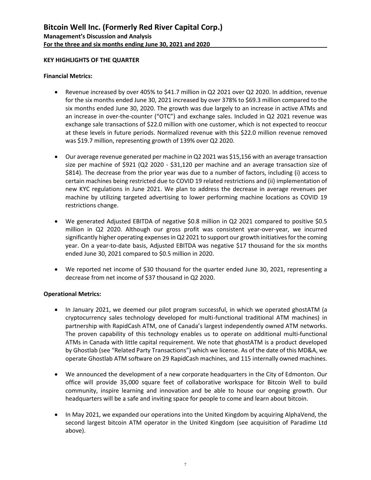### **KEY HIGHLIGHTS OF THE QUARTER**

### **Financial Metrics:**

- Revenue increased by over 405% to \$41.7 million in Q2 2021 over Q2 2020. In addition, revenue for the six months ended June 30, 2021 increased by over 378% to \$69.3 million compared to the six months ended June 30, 2020. The growth was due largely to an increase in active ATMs and an increase in over-the-counter ("OTC") and exchange sales. Included in Q2 2021 revenue was exchange sale transactions of \$22.0 million with one customer, which is not expected to reoccur at these levels in future periods. Normalized revenue with this \$22.0 million revenue removed was \$19.7 million, representing growth of 139% over Q2 2020.
- Our average revenue generated per machine in Q2 2021 was \$15,156 with an average transaction size per machine of \$921 (Q2 2020 - \$31,120 per machine and an average transaction size of \$814). The decrease from the prior year was due to a number of factors, including (i) access to certain machines being restricted due to COVID 19 related restrictions and (ii) implementation of new KYC regulations in June 2021. We plan to address the decrease in average revenues per machine by utilizing targeted advertising to lower performing machine locations as COVID 19 restrictions change.
- We generated Adjusted EBITDA of negative \$0.8 million in Q2 2021 compared to positive \$0.5 million in Q2 2020. Although our gross profit was consistent year-over-year, we incurred significantly higher operating expenses in Q2 2021 to support our growth initiatives for the coming year. On a year-to-date basis, Adjusted EBITDA was negative \$17 thousand for the six months ended June 30, 2021 compared to \$0.5 million in 2020.
- We reported net income of \$30 thousand for the quarter ended June 30, 2021, representing a decrease from net income of \$37 thousand in Q2 2020.

## **Operational Metrics:**

- In January 2021, we deemed our pilot program successful, in which we operated ghostATM (a cryptocurrency sales technology developed for multi-functional traditional ATM machines) in partnership with RapidCash ATM, one of Canada's largest independently owned ATM networks. The proven capability of this technology enables us to operate on additional multi-functional ATMs in Canada with little capital requirement. We note that ghostATM is a product developed by Ghostlab (see "Related Party Transactions") which we license. As of the date of this MD&A, we operate Ghostlab ATM software on 29 RapidCash machines, and 115 internally owned machines.
- We announced the development of a new corporate headquarters in the City of Edmonton. Our office will provide 35,000 square feet of collaborative workspace for Bitcoin Well to build community, inspire learning and innovation and be able to house our ongoing growth. Our headquarters will be a safe and inviting space for people to come and learn about bitcoin.
- In May 2021, we expanded our operations into the United Kingdom by acquiring AlphaVend, the second largest bitcoin ATM operator in the United Kingdom (see acquisition of Paradime Ltd above).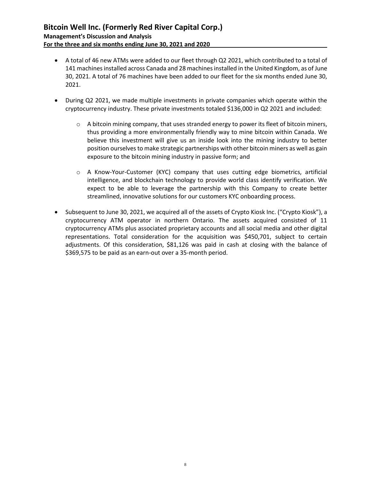- A total of 46 new ATMs were added to our fleet through Q2 2021, which contributed to a total of 141 machines installed across Canada and 28 machines installed in the United Kingdom, as of June 30, 2021. A total of 76 machines have been added to our fleet for the six months ended June 30, 2021.
- During Q2 2021, we made multiple investments in private companies which operate within the cryptocurrency industry. These private investments totaled \$136,000 in Q2 2021 and included:
	- $\circ$  A bitcoin mining company, that uses stranded energy to power its fleet of bitcoin miners, thus providing a more environmentally friendly way to mine bitcoin within Canada. We believe this investment will give us an inside look into the mining industry to better position ourselves to make strategic partnerships with other bitcoin miners as well as gain exposure to the bitcoin mining industry in passive form; and
	- o A Know-Your-Customer (KYC) company that uses cutting edge biometrics, artificial intelligence, and blockchain technology to provide world class identify verification. We expect to be able to leverage the partnership with this Company to create better streamlined, innovative solutions for our customers KYC onboarding process.
- Subsequent to June 30, 2021, we acquired all of the assets of Crypto Kiosk Inc. ("Crypto Kiosk"), a cryptocurrency ATM operator in northern Ontario. The assets acquired consisted of 11 cryptocurrency ATMs plus associated proprietary accounts and all social media and other digital representations. Total consideration for the acquisition was \$450,701, subject to certain adjustments. Of this consideration, \$81,126 was paid in cash at closing with the balance of \$369,575 to be paid as an earn-out over a 35-month period.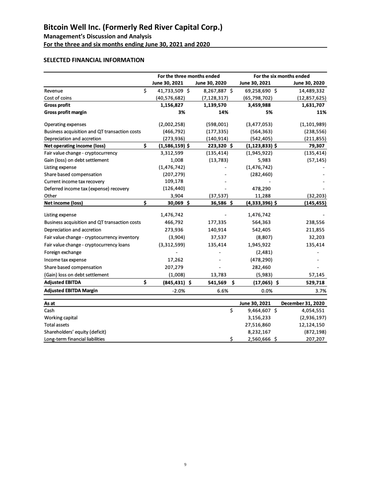**For the three and six months ending June 30, 2021 and 2020**

# **SELECTED FINANCIAL INFORMATION**

|                                               |    | For the three months ended |               |    | For the six months ended |  |                   |  |
|-----------------------------------------------|----|----------------------------|---------------|----|--------------------------|--|-------------------|--|
|                                               |    | June 30, 2021              | June 30, 2020 |    | June 30, 2021            |  | June 30, 2020     |  |
| Revenue                                       | \$ | 41,733,509 \$              | 8,267,887 \$  |    | 69,258,690 \$            |  | 14,489,332        |  |
| Cost of coins                                 |    | (40, 576, 682)             | (7, 128, 317) |    | (65, 798, 702)           |  | (12, 857, 625)    |  |
| <b>Gross profit</b>                           |    | 1,156,827                  | 1,139,570     |    | 3,459,988                |  | 1,631,707         |  |
| Gross profit margin                           |    | 3%                         | 14%           |    | 5%                       |  | 11%               |  |
| Operating expenses                            |    | (2,002,258)                | (598,001)     |    | (3,477,053)              |  | (1, 101, 989)     |  |
| Business acquisition and QT transaction costs |    | (466, 792)                 | (177, 335)    |    | (564, 363)               |  | (238, 556)        |  |
| Depreciation and accretion                    |    | (273,936)                  | (140, 914)    |    | (542, 405)               |  | (211, 855)        |  |
| <b>Net operating income (loss)</b>            | Ś  | $(1,586,159)$ \$           | 223,320\$     |    | $(1, 123, 833)$ \$       |  | 79,307            |  |
| Fair value change - cryptocurrency            |    | 3,312,599                  | (135, 414)    |    | (1,945,922)              |  | (135, 414)        |  |
| Gain (loss) on debt settlement                |    | 1,008                      | (13, 783)     |    | 5,983                    |  | (57, 145)         |  |
| Listing expense                               |    | (1, 476, 742)              |               |    | (1, 476, 742)            |  |                   |  |
| Share based compensation                      |    | (207, 279)                 |               |    | (282, 460)               |  |                   |  |
| Current income tax recovery                   |    | 109,178                    |               |    |                          |  |                   |  |
| Deferred income tax (expense) recovery        |    | (126, 440)                 |               |    | 478,290                  |  |                   |  |
| Other                                         |    | 3,904                      | (37, 537)     |    | 11,288                   |  | (32, 203)         |  |
| Net income (loss)                             | \$ | 30,069 \$                  | 36,586\$      |    | $(4,333,396)$ \$         |  | (145, 455)        |  |
| Listing expense                               |    | 1,476,742                  |               |    | 1,476,742                |  |                   |  |
| Business acquisition and QT transaction costs |    | 466,792                    | 177,335       |    | 564,363                  |  | 238,556           |  |
| Depreciation and accretion                    |    | 273,936                    | 140,914       |    | 542,405                  |  | 211,855           |  |
| Fair value change - cryptocurrency inventory  |    | (3,904)                    | 37,537        |    | (8,807)                  |  | 32,203            |  |
| Fair value change - cryptocurrency loans      |    | (3,312,599)                | 135,414       |    | 1,945,922                |  | 135,414           |  |
| Foreign exchange                              |    |                            |               |    | (2, 481)                 |  |                   |  |
| Income tax expense                            |    | 17,262                     |               |    | (478, 290)               |  |                   |  |
| Share based compensation                      |    | 207,279                    |               |    | 282,460                  |  |                   |  |
| (Gain) loss on debt settlement                |    | (1,008)                    | 13,783        |    | (5,983)                  |  | 57,145            |  |
| <b>Adjusted EBITDA</b>                        | \$ | $(845, 431)$ \$            | 541,569       | \$ | $(17,065)$ \$            |  | 529,718           |  |
| <b>Adjusted EBITDA Margin</b>                 |    | $-2.0%$                    | 6.6%          |    | 0.0%                     |  | 3.7%              |  |
|                                               |    |                            |               |    | June 30, 2021            |  | December 31, 2020 |  |
| As at<br>Cash                                 |    |                            | \$            |    | 9,464,607 \$             |  | 4,054,551         |  |
| Working capital                               |    |                            |               |    | 3,156,233                |  | (2,936,197)       |  |
| <b>Total assets</b>                           |    |                            |               |    | 27,516,860               |  | 12,124,150        |  |
| Shareholders' equity (deficit)                |    |                            |               |    | 8,232,167                |  | (872, 198)        |  |
| Long-term financial liabilities               |    |                            | \$            |    | 2,560,666 \$             |  | 207,207           |  |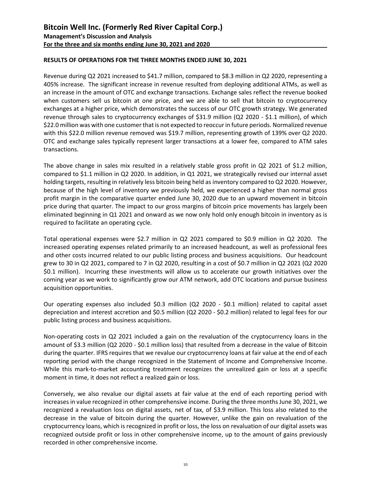## **RESULTS OF OPERATIONS FOR THE THREE MONTHS ENDED JUNE 30, 2021**

Revenue during Q2 2021 increased to \$41.7 million, compared to \$8.3 million in Q2 2020, representing a 405% increase. The significant increase in revenue resulted from deploying additional ATMs, as well as an increase in the amount of OTC and exchange transactions. Exchange sales reflect the revenue booked when customers sell us bitcoin at one price, and we are able to sell that bitcoin to cryptocurrency exchanges at a higher price, which demonstrates the success of our OTC growth strategy. We generated revenue through sales to cryptocurrency exchanges of \$31.9 million (Q2 2020 - \$1.1 million), of which \$22.0 million was with one customer that is not expected to reoccur in future periods. Normalized revenue with this \$22.0 million revenue removed was \$19.7 million, representing growth of 139% over Q2 2020. OTC and exchange sales typically represent larger transactions at a lower fee, compared to ATM sales transactions.

The above change in sales mix resulted in a relatively stable gross profit in Q2 2021 of \$1.2 million, compared to \$1.1 million in Q2 2020. In addition, in Q1 2021, we strategically revised our internal asset holding targets, resulting in relatively less bitcoin being held as inventory compared to Q2 2020. However, because of the high level of inventory we previously held, we experienced a higher than normal gross profit margin in the comparative quarter ended June 30, 2020 due to an upward movement in bitcoin price during that quarter. The impact to our gross margins of bitcoin price movements has largely been eliminated beginning in Q1 2021 and onward as we now only hold only enough bitcoin in inventory as is required to facilitate an operating cycle.

Total operational expenses were \$2.7 million in Q2 2021 compared to \$0.9 million in Q2 2020. The increased operating expenses related primarily to an increased headcount, as well as professional fees and other costs incurred related to our public listing process and business acquisitions. Our headcount grew to 30 in Q2 2021, compared to 7 in Q2 2020, resulting in a cost of \$0.7 million in Q2 2021 (Q2 2020 \$0.1 million). Incurring these investments will allow us to accelerate our growth initiatives over the coming year as we work to significantly grow our ATM network, add OTC locations and pursue business acquisition opportunities.

Our operating expenses also included \$0.3 million (Q2 2020 - \$0.1 million) related to capital asset depreciation and interest accretion and \$0.5 million (Q2 2020 - \$0.2 million) related to legal fees for our public listing process and business acquisitions.

Non-operating costs in Q2 2021 included a gain on the revaluation of the cryptocurrency loans in the amount of \$3.3 million (Q2 2020 - \$0.1 million loss) that resulted from a decrease in the value of Bitcoin during the quarter. IFRS requires that we revalue our cryptocurrency loans at fair value at the end of each reporting period with the change recognized in the Statement of Income and Comprehensive Income. While this mark-to-market accounting treatment recognizes the unrealized gain or loss at a specific moment in time, it does not reflect a realized gain or loss.

Conversely, we also revalue our digital assets at fair value at the end of each reporting period with increases in value recognized in other comprehensive income. During the three months June 30, 2021, we recognized a revaluation loss on digital assets, net of tax, of \$3.9 million. This loss also related to the decrease in the value of bitcoin during the quarter. However, unlike the gain on revaluation of the cryptocurrency loans, which is recognized in profit or loss, the loss on revaluation of our digital assets was recognized outside profit or loss in other comprehensive income, up to the amount of gains previously recorded in other comprehensive income.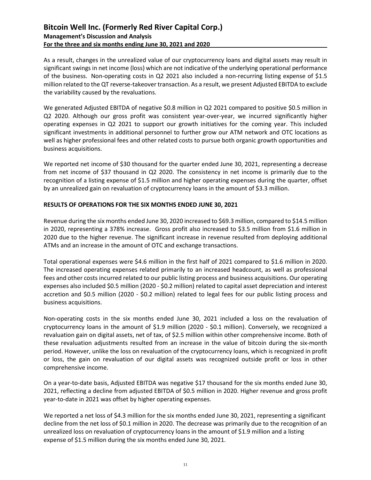As a result, changes in the unrealized value of our cryptocurrency loans and digital assets may result in significant swings in net income (loss) which are not indicative of the underlying operational performance of the business. Non-operating costs in Q2 2021 also included a non-recurring listing expense of \$1.5 million related to the QT reverse-takeover transaction. As a result, we present Adjusted EBITDA to exclude the variability caused by the revaluations.

We generated Adjusted EBITDA of negative \$0.8 million in Q2 2021 compared to positive \$0.5 million in Q2 2020. Although our gross profit was consistent year-over-year, we incurred significantly higher operating expenses in Q2 2021 to support our growth initiatives for the coming year. This included significant investments in additional personnel to further grow our ATM network and OTC locations as well as higher professional fees and other related costs to pursue both organic growth opportunities and business acquisitions.

We reported net income of \$30 thousand for the quarter ended June 30, 2021, representing a decrease from net income of \$37 thousand in Q2 2020. The consistency in net income is primarily due to the recognition of a listing expense of \$1.5 million and higher operating expenses during the quarter, offset by an unrealized gain on revaluation of cryptocurrency loans in the amount of \$3.3 million.

## **RESULTS OF OPERATIONS FOR THE SIX MONTHS ENDED JUNE 30, 2021**

Revenue during the six months ended June 30, 2020 increased to \$69.3 million, compared to \$14.5 million in 2020, representing a 378% increase. Gross profit also increased to \$3.5 million from \$1.6 million in 2020 due to the higher revenue. The significant increase in revenue resulted from deploying additional ATMs and an increase in the amount of OTC and exchange transactions.

Total operational expenses were \$4.6 million in the first half of 2021 compared to \$1.6 million in 2020. The increased operating expenses related primarily to an increased headcount, as well as professional fees and other costs incurred related to our public listing process and business acquisitions. Our operating expenses also included \$0.5 million (2020 - \$0.2 million) related to capital asset depreciation and interest accretion and \$0.5 million (2020 - \$0.2 million) related to legal fees for our public listing process and business acquisitions.

Non-operating costs in the six months ended June 30, 2021 included a loss on the revaluation of cryptocurrency loans in the amount of \$1.9 million (2020 - \$0.1 million). Conversely, we recognized a revaluation gain on digital assets, net of tax, of \$2.5 million within other comprehensive income. Both of these revaluation adjustments resulted from an increase in the value of bitcoin during the six-month period. However, unlike the loss on revaluation of the cryptocurrency loans, which is recognized in profit or loss, the gain on revaluation of our digital assets was recognized outside profit or loss in other comprehensive income.

On a year-to-date basis, Adjusted EBITDA was negative \$17 thousand for the six months ended June 30, 2021, reflecting a decline from adjusted EBITDA of \$0.5 million in 2020. Higher revenue and gross profit year-to-date in 2021 was offset by higher operating expenses.

We reported a net loss of \$4.3 million for the six months ended June 30, 2021, representing a significant decline from the net loss of \$0.1 million in 2020. The decrease was primarily due to the recognition of an unrealized loss on revaluation of cryptocurrency loans in the amount of \$1.9 million and a listing expense of \$1.5 million during the six months ended June 30, 2021.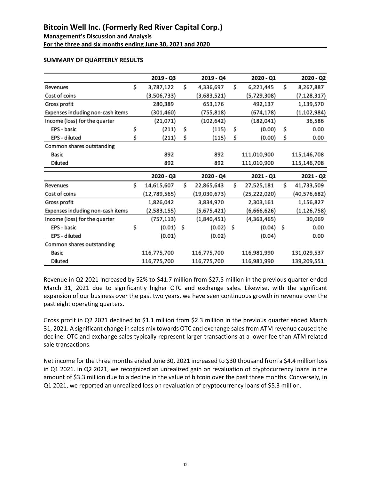**For the three and six months ending June 30, 2021 and 2020**

## **SUMMARY OF QUARTERLY RESULTS**

| $2019 - Q3$      |     | 2019 - Q4    |      | 2020 - Q1    |    | 2020 - Q2     |
|------------------|-----|--------------|------|--------------|----|---------------|
| \$<br>3,787,122  | \$  | 4,336,697    | \$   | 6,221,445    | \$ | 8,267,887     |
| (3,506,733)      |     | (3,683,521)  |      | (5,729,308)  |    | (7, 128, 317) |
| 280,389          |     | 653,176      |      | 492,137      |    | 1,139,570     |
| (301, 460)       |     | (755, 818)   |      | (674, 178)   |    | (1, 102, 984) |
| (21,071)         |     | (102, 642)   |      | (182, 041)   |    | 36,586        |
| \$<br>(211)      | \$  | (115)        | \$   | (0.00)       | \$ | 0.00          |
| \$<br>(211)      | \$  | (115)        | \$   | (0.00)       | Ś  | 0.00          |
|                  |     |              |      |              |    |               |
| 892              |     | 892          |      | 111,010,900  |    | 115,146,708   |
| 892              |     | 892          |      | 111,010,900  |    | 115,146,708   |
|                  |     |              |      |              |    |               |
|                  |     |              |      |              |    |               |
| $2020 - Q3$      |     | 2020 - Q4    |      | 2021 - Q1    |    | $2021 - Q2$   |
| \$<br>14,615,607 | \$  | 22,865,643   | \$   | 27,525,181   | \$ | 41,733,509    |
| (12,789,565)     |     | (19,030,673) |      | (25,222,020) |    | (40,576,682)  |
| 1,826,042        |     | 3,834,970    |      | 2,303,161    |    | 1,156,827     |
| (2,583,155)      |     | (5,675,421)  |      | (6,666,626)  |    | (1, 126, 758) |
| (757, 113)       |     | (1,840,451)  |      | (4,363,465)  |    | 30,069        |
| \$<br>(0.01)     | -\$ | (0.02)       | - \$ | $(0.04)$ \$  |    | 0.00          |
| (0.01)           |     | (0.02)       |      | (0.04)       |    | 0.00          |
|                  |     |              |      |              |    |               |
| 116,775,700      |     | 116,775,700  |      | 116,981,990  |    | 131,029,537   |
|                  |     |              |      |              |    |               |

Revenue in Q2 2021 increased by 52% to \$41.7 million from \$27.5 million in the previous quarter ended March 31, 2021 due to significantly higher OTC and exchange sales. Likewise, with the significant expansion of our business over the past two years, we have seen continuous growth in revenue over the past eight operating quarters.

Gross profit in Q2 2021 declined to \$1.1 million from \$2.3 million in the previous quarter ended March 31, 2021. A significant change in sales mix towards OTC and exchange sales from ATM revenue caused the decline. OTC and exchange sales typically represent larger transactions at a lower fee than ATM related sale transactions.

Net income for the three months ended June 30, 2021 increased to \$30 thousand from a \$4.4 million loss in Q1 2021. In Q2 2021, we recognized an unrealized gain on revaluation of cryptocurrency loans in the amount of \$3.3 million due to a decline in the value of bitcoin over the past three months. Conversely, in Q1 2021, we reported an unrealized loss on revaluation of cryptocurrency loans of \$5.3 million.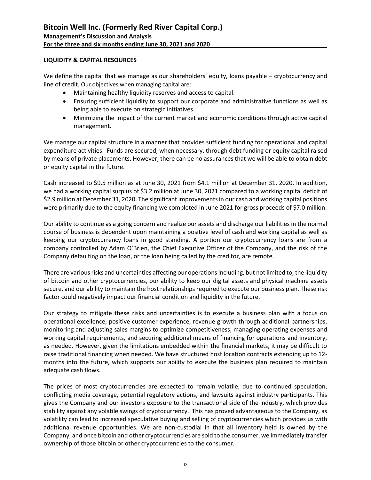## **LIQUIDITY & CAPITAL RESOURCES**

We define the capital that we manage as our shareholders' equity, loans payable – cryptocurrency and line of credit. Our objectives when managing capital are:

- Maintaining healthy liquidity reserves and access to capital.
- Ensuring sufficient liquidity to support our corporate and administrative functions as well as being able to execute on strategic initiatives.
- Minimizing the impact of the current market and economic conditions through active capital management.

We manage our capital structure in a manner that provides sufficient funding for operational and capital expenditure activities. Funds are secured, when necessary, through debt funding or equity capital raised by means of private placements. However, there can be no assurances that we will be able to obtain debt or equity capital in the future.

Cash increased to \$9.5 million as at June 30, 2021 from \$4.1 million at December 31, 2020. In addition, we had a working capital surplus of \$3.2 million at June 30, 2021 compared to a working capital deficit of \$2.9 million at December 31, 2020. The significant improvements in our cash and working capital positions were primarily due to the equity financing we completed in June 2021 for gross proceeds of \$7.0 million.

Our ability to continue as a going concern and realize our assets and discharge our liabilities in the normal course of business is dependent upon maintaining a positive level of cash and working capital as well as keeping our cryptocurrency loans in good standing. A portion our cryptocurrency loans are from a company controlled by Adam O'Brien, the Chief Executive Officer of the Company, and the risk of the Company defaulting on the loan, or the loan being called by the creditor, are remote.

There are various risks and uncertainties affecting our operations including, but not limited to, the liquidity of bitcoin and other cryptocurrencies, our ability to keep our digital assets and physical machine assets secure, and our ability to maintain the host relationships required to execute our business plan. These risk factor could negatively impact our financial condition and liquidity in the future.

Our strategy to mitigate these risks and uncertainties is to execute a business plan with a focus on operational excellence, positive customer experience, revenue growth through additional partnerships, monitoring and adjusting sales margins to optimize competitiveness, managing operating expenses and working capital requirements, and securing additional means of financing for operations and inventory, as needed. However, given the limitations embedded within the financial markets, it may be difficult to raise traditional financing when needed. We have structured host location contracts extending up to 12 months into the future, which supports our ability to execute the business plan required to maintain adequate cash flows.

The prices of most cryptocurrencies are expected to remain volatile, due to continued speculation, conflicting media coverage, potential regulatory actions, and lawsuits against industry participants. This gives the Company and our investors exposure to the transactional side of the industry, which provides stability against any volatile swings of cryptocurrency. This has proved advantageous to the Company, as volatility can lead to increased speculative buying and selling of cryptocurrencies which provides us with additional revenue opportunities. We are non-custodial in that all inventory held is owned by the Company, and once bitcoin and other cryptocurrencies are sold to the consumer, we immediately transfer ownership of those bitcoin or other cryptocurrencies to the consumer.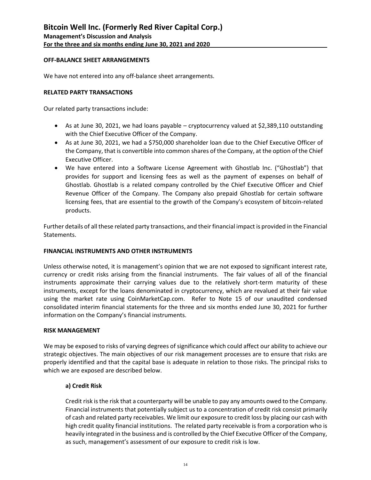### **OFF-BALANCE SHEET ARRANGEMENTS**

We have not entered into any off-balance sheet arrangements.

#### **RELATED PARTY TRANSACTIONS**

Our related party transactions include:

- As at June 30, 2021, we had loans payable cryptocurrency valued at \$2,389,110 outstanding with the Chief Executive Officer of the Company.
- As at June 30, 2021, we had a \$750,000 shareholder loan due to the Chief Executive Officer of the Company, that is convertible into common shares of the Company, at the option of the Chief Executive Officer.
- We have entered into a Software License Agreement with Ghostlab Inc. ("Ghostlab") that provides for support and licensing fees as well as the payment of expenses on behalf of Ghostlab. Ghostlab is a related company controlled by the Chief Executive Officer and Chief Revenue Officer of the Company. The Company also prepaid Ghostlab for certain software licensing fees, that are essential to the growth of the Company's ecosystem of bitcoin-related products.

Further details of all these related party transactions, and their financial impact is provided in the Financial Statements.

#### **FINANCIAL INSTRUMENTS AND OTHER INSTRUMENTS**

Unless otherwise noted, it is management's opinion that we are not exposed to significant interest rate, currency or credit risks arising from the financial instruments. The fair values of all of the financial instruments approximate their carrying values due to the relatively short-term maturity of these instruments, except for the loans denominated in cryptocurrency, which are revalued at their fair value using the market rate using CoinMarketCap.com. Refer to Note 15 of our unaudited condensed consolidated interim financial statements for the three and six months ended June 30, 2021 for further information on the Company's financial instruments.

#### **RISK MANAGEMENT**

We may be exposed to risks of varying degrees of significance which could affect our ability to achieve our strategic objectives. The main objectives of our risk management processes are to ensure that risks are properly identified and that the capital base is adequate in relation to those risks. The principal risks to which we are exposed are described below.

#### **a) Credit Risk**

Credit risk is the risk that a counterparty will be unable to pay any amounts owed to the Company. Financial instruments that potentially subject us to a concentration of credit risk consist primarily of cash and related party receivables. We limit our exposure to credit loss by placing our cash with high credit quality financial institutions. The related party receivable is from a corporation who is heavily integrated in the business and is controlled by the Chief Executive Officer of the Company, as such, management's assessment of our exposure to credit risk is low.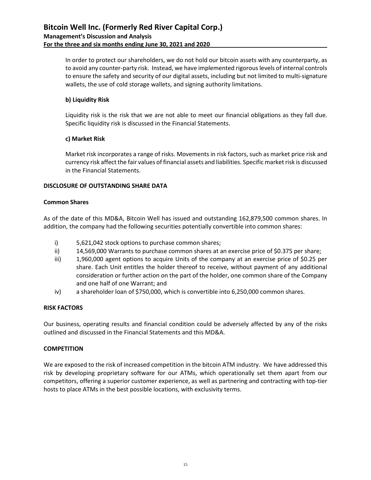In order to protect our shareholders, we do not hold our bitcoin assets with any counterparty, as to avoid any counter-party risk. Instead, we have implemented rigorous levels of internal controls to ensure the safety and security of our digital assets, including but not limited to multi-signature wallets, the use of cold storage wallets, and signing authority limitations.

## **b) Liquidity Risk**

Liquidity risk is the risk that we are not able to meet our financial obligations as they fall due. Specific liquidity risk is discussed in the Financial Statements.

# **c) Market Risk**

Market risk incorporates a range of risks. Movements in risk factors, such as market price risk and currency risk affect the fair values of financial assets and liabilities. Specific market risk is discussed in the Financial Statements.

# **DISCLOSURE OF OUTSTANDING SHARE DATA**

## **Common Shares**

As of the date of this MD&A, Bitcoin Well has issued and outstanding 162,879,500 common shares. In addition, the company had the following securities potentially convertible into common shares:

- i) 5,621,042 stock options to purchase common shares;
- ii) 14,569,000 Warrants to purchase common shares at an exercise price of \$0.375 per share;
- iii) 1,960,000 agent options to acquire Units of the company at an exercise price of \$0.25 per share. Each Unit entitles the holder thereof to receive, without payment of any additional consideration or further action on the part of the holder, one common share of the Company and one half of one Warrant; and
- iv) a shareholder loan of \$750,000, which is convertible into 6,250,000 common shares.

## **RISK FACTORS**

Our business, operating results and financial condition could be adversely affected by any of the risks outlined and discussed in the Financial Statements and this MD&A.

## **COMPETITION**

We are exposed to the risk of increased competition in the bitcoin ATM industry. We have addressed this risk by developing proprietary software for our ATMs, which operationally set them apart from our competitors, offering a superior customer experience, as well as partnering and contracting with top-tier hosts to place ATMs in the best possible locations, with exclusivity terms.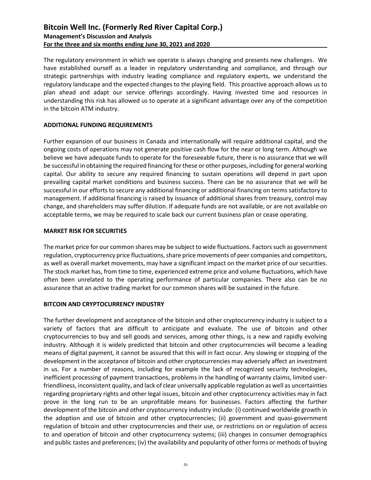The regulatory environment in which we operate is always changing and presents new challenges. We have established ourself as a leader in regulatory understanding and compliance, and through our strategic partnerships with industry leading compliance and regulatory experts, we understand the regulatory landscape and the expected changes to the playing field. This proactive approach allows us to plan ahead and adapt our service offerings accordingly. Having invested time and resources in understanding this risk has allowed us to operate at a significant advantage over any of the competition in the bitcoin ATM industry.

## **ADDITIONAL FUNDING REQUIREMENTS**

Further expansion of our business in Canada and internationally will require additional capital, and the ongoing costs of operations may not generate positive cash flow for the near or long term. Although we believe we have adequate funds to operate for the foreseeable future, there is no assurance that we will be successful in obtaining the required financing for these or other purposes, including for general working capital. Our ability to secure any required financing to sustain operations will depend in part upon prevailing capital market conditions and business success. There can be no assurance that we will be successful in our efforts to secure any additional financing or additional financing on terms satisfactory to management. If additional financing is raised by issuance of additional shares from treasury, control may change, and shareholders may suffer dilution. If adequate funds are not available, or are not available on acceptable terms, we may be required to scale back our current business plan or cease operating.

### **MARKET RISK FOR SECURITIES**

The market price for our common shares may be subject to wide fluctuations. Factors such as government regulation, cryptocurrency price fluctuations, share price movements of peer companies and competitors, as well as overall market movements, may have a significant impact on the market price of our securities. The stock market has, from time to time, experienced extreme price and volume fluctuations, which have often been unrelated to the operating performance of particular companies. There also can be no assurance that an active trading market for our common shares will be sustained in the future.

## **BITCOIN AND CRYPTOCURRENCY INDUSTRY**

The further development and acceptance of the bitcoin and other cryptocurrency industry is subject to a variety of factors that are difficult to anticipate and evaluate. The use of bitcoin and other cryptocurrencies to buy and sell goods and services, among other things, is a new and rapidly evolving industry. Although it is widely predicted that bitcoin and other cryptocurrencies will become a leading means of digital payment, it cannot be assured that this will in fact occur. Any slowing or stopping of the development in the acceptance of bitcoin and other cryptocurrencies may adversely affect an investment in us. For a number of reasons, including for example the lack of recognized security technologies, inefficient processing of payment transactions, problems in the handling of warranty claims, limited userfriendliness, inconsistent quality, and lack of clear universally applicable regulation as well as uncertainties regarding proprietary rights and other legal issues, bitcoin and other cryptocurrency activities may in fact prove in the long run to be an unprofitable means for businesses. Factors affecting the further development of the bitcoin and other cryptocurrency industry include: (i) continued worldwide growth in the adoption and use of bitcoin and other cryptocurrencies; (ii) government and quasi-government regulation of bitcoin and other cryptocurrencies and their use, or restrictions on or regulation of access to and operation of bitcoin and other cryptocurrency systems; (iii) changes in consumer demographics and public tastes and preferences; (iv) the availability and popularity of other forms or methods of buying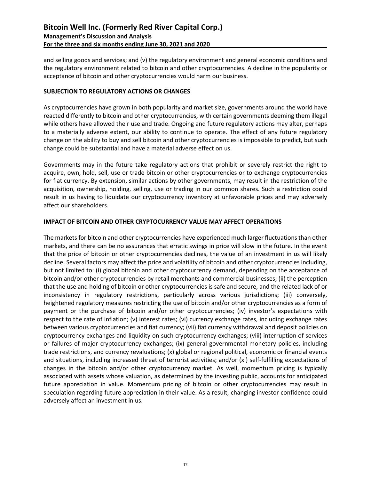and selling goods and services; and (v) the regulatory environment and general economic conditions and the regulatory environment related to bitcoin and other cryptocurrencies. A decline in the popularity or acceptance of bitcoin and other cryptocurrencies would harm our business.

## **SUBJECTION TO REGULATORY ACTIONS OR CHANGES**

As cryptocurrencies have grown in both popularity and market size, governments around the world have reacted differently to bitcoin and other cryptocurrencies, with certain governments deeming them illegal while others have allowed their use and trade. Ongoing and future regulatory actions may alter, perhaps to a materially adverse extent, our ability to continue to operate. The effect of any future regulatory change on the ability to buy and sell bitcoin and other cryptocurrencies is impossible to predict, but such change could be substantial and have a material adverse effect on us.

Governments may in the future take regulatory actions that prohibit or severely restrict the right to acquire, own, hold, sell, use or trade bitcoin or other cryptocurrencies or to exchange cryptocurrencies for fiat currency. By extension, similar actions by other governments, may result in the restriction of the acquisition, ownership, holding, selling, use or trading in our common shares. Such a restriction could result in us having to liquidate our cryptocurrency inventory at unfavorable prices and may adversely affect our shareholders.

### **IMPACT OF BITCOIN AND OTHER CRYPTOCURRENCY VALUE MAY AFFECT OPERATIONS**

The markets for bitcoin and other cryptocurrencies have experienced much larger fluctuations than other markets, and there can be no assurances that erratic swings in price will slow in the future. In the event that the price of bitcoin or other cryptocurrencies declines, the value of an investment in us will likely decline. Several factors may affect the price and volatility of bitcoin and other cryptocurrencies including, but not limited to: (i) global bitcoin and other cryptocurrency demand, depending on the acceptance of bitcoin and/or other cryptocurrencies by retail merchants and commercial businesses; (ii) the perception that the use and holding of bitcoin or other cryptocurrencies is safe and secure, and the related lack of or inconsistency in regulatory restrictions, particularly across various jurisdictions; (iii) conversely, heightened regulatory measures restricting the use of bitcoin and/or other cryptocurrencies as a form of payment or the purchase of bitcoin and/or other cryptocurrencies; (iv) investor's expectations with respect to the rate of inflation; (v) interest rates; (vi) currency exchange rates, including exchange rates between various cryptocurrencies and fiat currency; (vii) fiat currency withdrawal and deposit policies on cryptocurrency exchanges and liquidity on such cryptocurrency exchanges; (viii) interruption of services or failures of major cryptocurrency exchanges; (ix) general governmental monetary policies, including trade restrictions, and currency revaluations; (x) global or regional political, economic or financial events and situations, including increased threat of terrorist activities; and/or (xi) self-fulfilling expectations of changes in the bitcoin and/or other cryptocurrency market. As well, momentum pricing is typically associated with assets whose valuation, as determined by the investing public, accounts for anticipated future appreciation in value. Momentum pricing of bitcoin or other cryptocurrencies may result in speculation regarding future appreciation in their value. As a result, changing investor confidence could adversely affect an investment in us.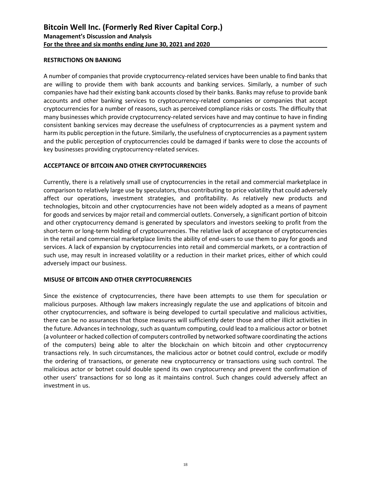### **RESTRICTIONS ON BANKING**

A number of companies that provide cryptocurrency-related services have been unable to find banks that are willing to provide them with bank accounts and banking services. Similarly, a number of such companies have had their existing bank accounts closed by their banks. Banks may refuse to provide bank accounts and other banking services to cryptocurrency-related companies or companies that accept cryptocurrencies for a number of reasons, such as perceived compliance risks or costs. The difficulty that many businesses which provide cryptocurrency-related services have and may continue to have in finding consistent banking services may decrease the usefulness of cryptocurrencies as a payment system and harm its public perception in the future. Similarly, the usefulness of cryptocurrencies as a payment system and the public perception of cryptocurrencies could be damaged if banks were to close the accounts of key businesses providing cryptocurrency-related services.

### **ACCEPTANCE OF BITCOIN AND OTHER CRYPTOCURRENCIES**

Currently, there is a relatively small use of cryptocurrencies in the retail and commercial marketplace in comparison to relatively large use by speculators, thus contributing to price volatility that could adversely affect our operations, investment strategies, and profitability. As relatively new products and technologies, bitcoin and other cryptocurrencies have not been widely adopted as a means of payment for goods and services by major retail and commercial outlets. Conversely, a significant portion of bitcoin and other cryptocurrency demand is generated by speculators and investors seeking to profit from the short-term or long-term holding of cryptocurrencies. The relative lack of acceptance of cryptocurrencies in the retail and commercial marketplace limits the ability of end-users to use them to pay for goods and services. A lack of expansion by cryptocurrencies into retail and commercial markets, or a contraction of such use, may result in increased volatility or a reduction in their market prices, either of which could adversely impact our business.

### **MISUSE OF BITCOIN AND OTHER CRYPTOCURRENCIES**

Since the existence of cryptocurrencies, there have been attempts to use them for speculation or malicious purposes. Although law makers increasingly regulate the use and applications of bitcoin and other cryptocurrencies, and software is being developed to curtail speculative and malicious activities, there can be no assurances that those measures will sufficiently deter those and other illicit activities in the future. Advances in technology, such as quantum computing, could lead to a malicious actor or botnet (a volunteer or hacked collection of computers controlled by networked software coordinating the actions of the computers) being able to alter the blockchain on which bitcoin and other cryptocurrency transactions rely. In such circumstances, the malicious actor or botnet could control, exclude or modify the ordering of transactions, or generate new cryptocurrency or transactions using such control. The malicious actor or botnet could double spend its own cryptocurrency and prevent the confirmation of other users' transactions for so long as it maintains control. Such changes could adversely affect an investment in us.